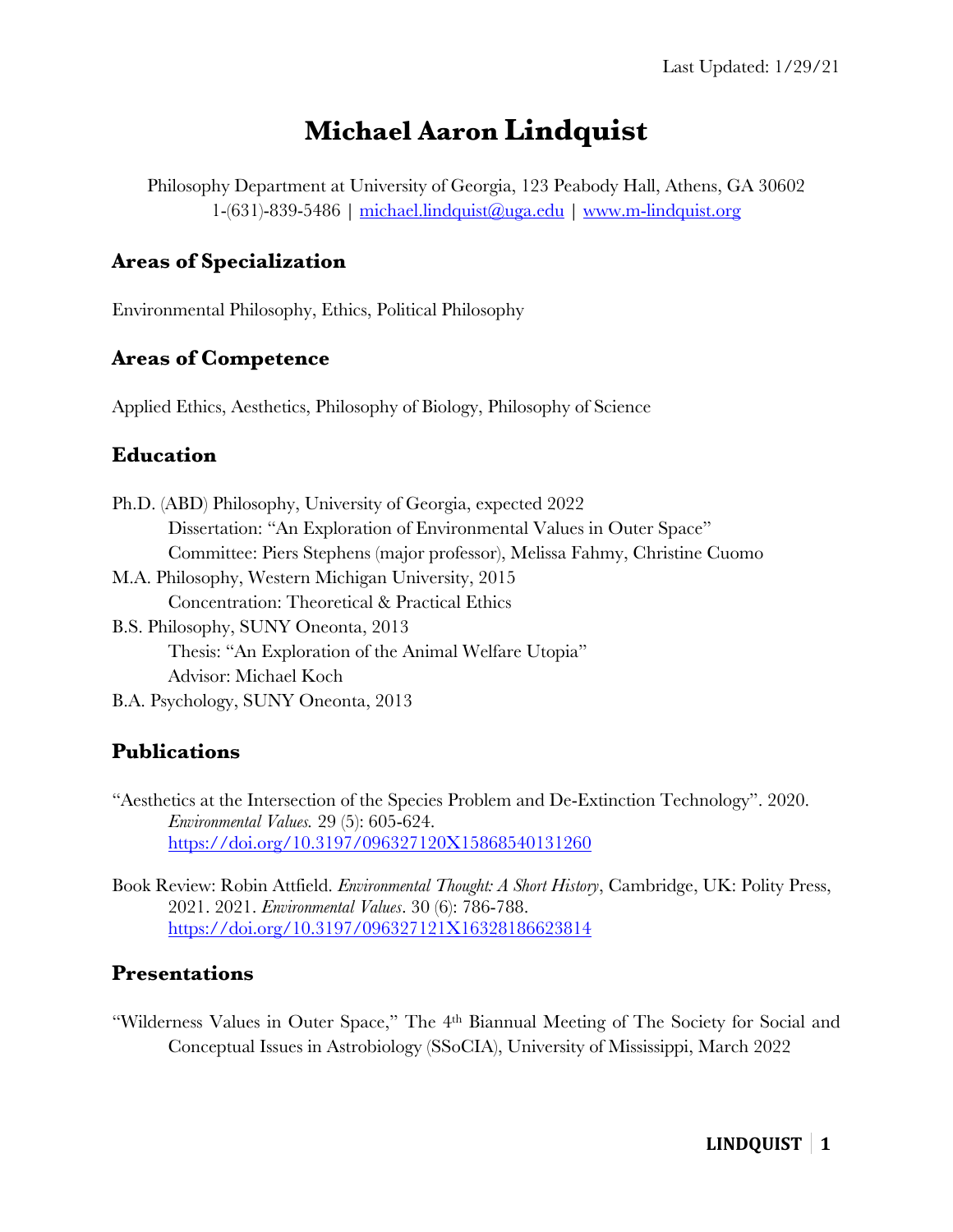# **Michael Aaron Lindquist**

Philosophy Department at University of Georgia, 123 Peabody Hall, Athens, GA 30602  $1-(631)$ -839-5486 | michael.lindquist@uga.edu | www.m-lindquist.org

### **Areas of Specialization**

Environmental Philosophy, Ethics, Political Philosophy

### **Areas of Competence**

Applied Ethics, Aesthetics, Philosophy of Biology, Philosophy of Science

### **Education**

| Ph.D. (ABD) Philosophy, University of Georgia, expected 2022                |
|-----------------------------------------------------------------------------|
| Dissertation: "An Exploration of Environmental Values in Outer Space"       |
| Committee: Piers Stephens (major professor), Melissa Fahmy, Christine Cuomo |
| M.A. Philosophy, Western Michigan University, 2015                          |
| Concentration: Theoretical & Practical Ethics                               |
| B.S. Philosophy, SUNY Oneonta, 2013                                         |
| Thesis: "An Exploration of the Animal Welfare Utopia"                       |
| Advisor: Michael Koch                                                       |
| B.A. Psychology, SUNY Oneonta, 2013                                         |

# **Publications**

"Aesthetics at the Intersection of the Species Problem and De-Extinction Technology". 2020. *Environmental Values.* 29 (5): 605-624. https://doi.org/10.3197/096327120X15868540131260

Book Review: Robin Attfield. *Environmental Thought: A Short History*, Cambridge, UK: Polity Press, 2021. 2021. *Environmental Values*. 30 (6): 786-788. https://doi.org/10.3197/096327121X16328186623814

### **Presentations**

"Wilderness Values in Outer Space," The 4th Biannual Meeting of The Society for Social and Conceptual Issues in Astrobiology (SSoCIA), University of Mississippi, March 2022

# **LINDQUIST 1**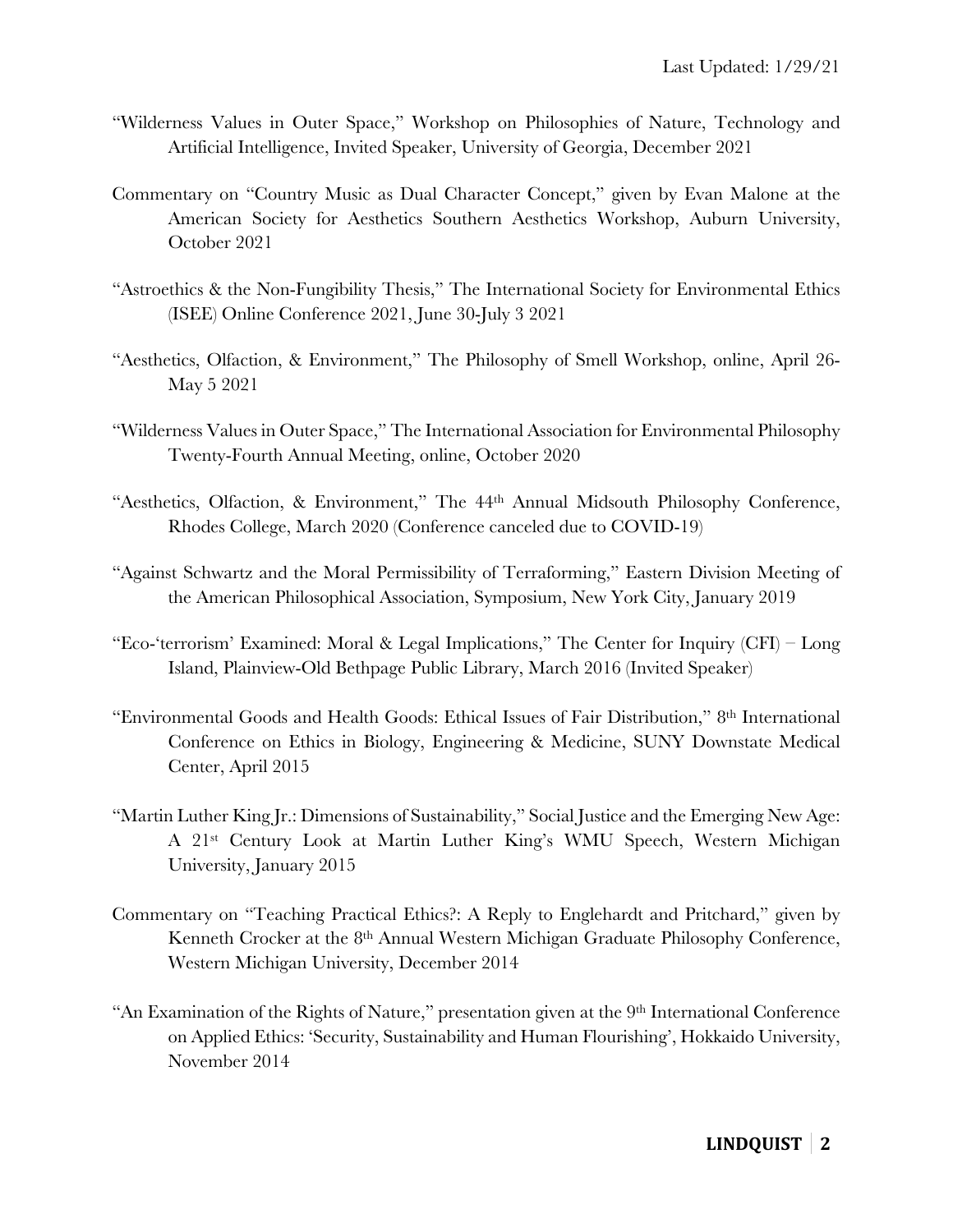- "Wilderness Values in Outer Space," Workshop on Philosophies of Nature, Technology and Artificial Intelligence, Invited Speaker, University of Georgia, December 2021
- Commentary on "Country Music as Dual Character Concept," given by Evan Malone at the American Society for Aesthetics Southern Aesthetics Workshop, Auburn University, October 2021
- "Astroethics & the Non-Fungibility Thesis," The International Society for Environmental Ethics (ISEE) Online Conference 2021, June 30-July 3 2021
- "Aesthetics, Olfaction, & Environment," The Philosophy of Smell Workshop, online, April 26- May 5 2021
- "Wilderness Values in Outer Space," The International Association for Environmental Philosophy Twenty-Fourth Annual Meeting, online, October 2020
- "Aesthetics, Olfaction, & Environment," The 44th Annual Midsouth Philosophy Conference, Rhodes College, March 2020 (Conference canceled due to COVID-19)
- "Against Schwartz and the Moral Permissibility of Terraforming," Eastern Division Meeting of the American Philosophical Association, Symposium, New York City, January 2019
- "Eco-'terrorism' Examined: Moral & Legal Implications," The Center for Inquiry (CFI) Long Island, Plainview-Old Bethpage Public Library, March 2016 (Invited Speaker)
- "Environmental Goods and Health Goods: Ethical Issues of Fair Distribution," 8th International Conference on Ethics in Biology, Engineering & Medicine, SUNY Downstate Medical Center, April 2015
- "Martin Luther King Jr.: Dimensions of Sustainability," Social Justice and the Emerging New Age: A 21st Century Look at Martin Luther King's WMU Speech, Western Michigan University, January 2015
- Commentary on "Teaching Practical Ethics?: A Reply to Englehardt and Pritchard," given by Kenneth Crocker at the 8<sup>th</sup> Annual Western Michigan Graduate Philosophy Conference, Western Michigan University, December 2014
- "An Examination of the Rights of Nature," presentation given at the 9<sup>th</sup> International Conference on Applied Ethics: 'Security, Sustainability and Human Flourishing', Hokkaido University, November 2014

# **LINDQUIST 2**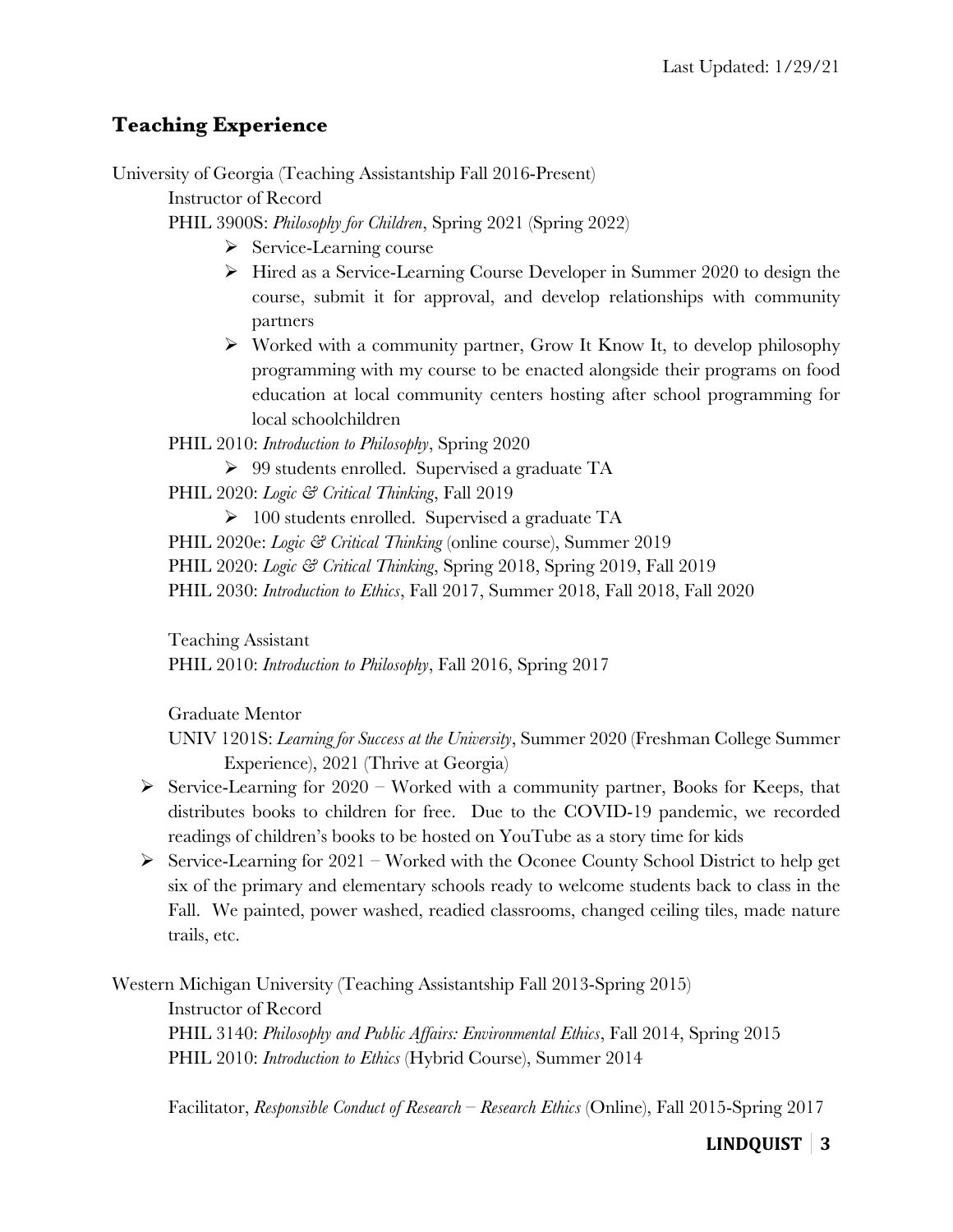# **Teaching Experience**

University of Georgia (Teaching Assistantship Fall 2016-Present)

Instructor of Record

PHIL 3900S: *Philosophy for Children*, Spring 2021 (Spring 2022)

- $\triangleright$  Service-Learning course
- Ø Hired as a Service-Learning Course Developer in Summer 2020 to design the course, submit it for approval, and develop relationships with community partners
- $\triangleright$  Worked with a community partner, Grow It Know It, to develop philosophy programming with my course to be enacted alongside their programs on food education at local community centers hosting after school programming for local schoolchildren

PHIL 2010: *Introduction to Philosophy*, Spring 2020

Ø 99 students enrolled. Supervised a graduate TA

PHIL 2020: *Logic & Critical Thinking*, Fall 2019

 $\triangleright$  100 students enrolled. Supervised a graduate TA

PHIL 2020e: *Logic & Critical Thinking* (online course), Summer 2019

PHIL 2020: *Logic & Critical Thinking*, Spring 2018, Spring 2019, Fall 2019

PHIL 2030: *Introduction to Ethics*, Fall 2017, Summer 2018, Fall 2018, Fall 2020

Teaching Assistant

PHIL 2010: *Introduction to Philosophy*, Fall 2016, Spring 2017

Graduate Mentor

UNIV 1201S: *Learning for Success at the University*, Summer 2020 (Freshman College Summer Experience), 2021 (Thrive at Georgia)

- $\triangleright$  Service-Learning for 2020 Worked with a community partner, Books for Keeps, that distributes books to children for free. Due to the COVID-19 pandemic, we recorded readings of children's books to be hosted on YouTube as a story time for kids
- $\triangleright$  Service-Learning for 2021 Worked with the Oconee County School District to help get six of the primary and elementary schools ready to welcome students back to class in the Fall. We painted, power washed, readied classrooms, changed ceiling tiles, made nature trails, etc.

Western Michigan University (Teaching Assistantship Fall 2013-Spring 2015) Instructor of Record PHIL 3140: *Philosophy and Public Affairs: Environmental Ethics*, Fall 2014, Spring 2015 PHIL 2010: *Introduction to Ethics* (Hybrid Course), Summer 2014

Facilitator, *Responsible Conduct of Research – Research Ethics* (Online), Fall 2015-Spring 2017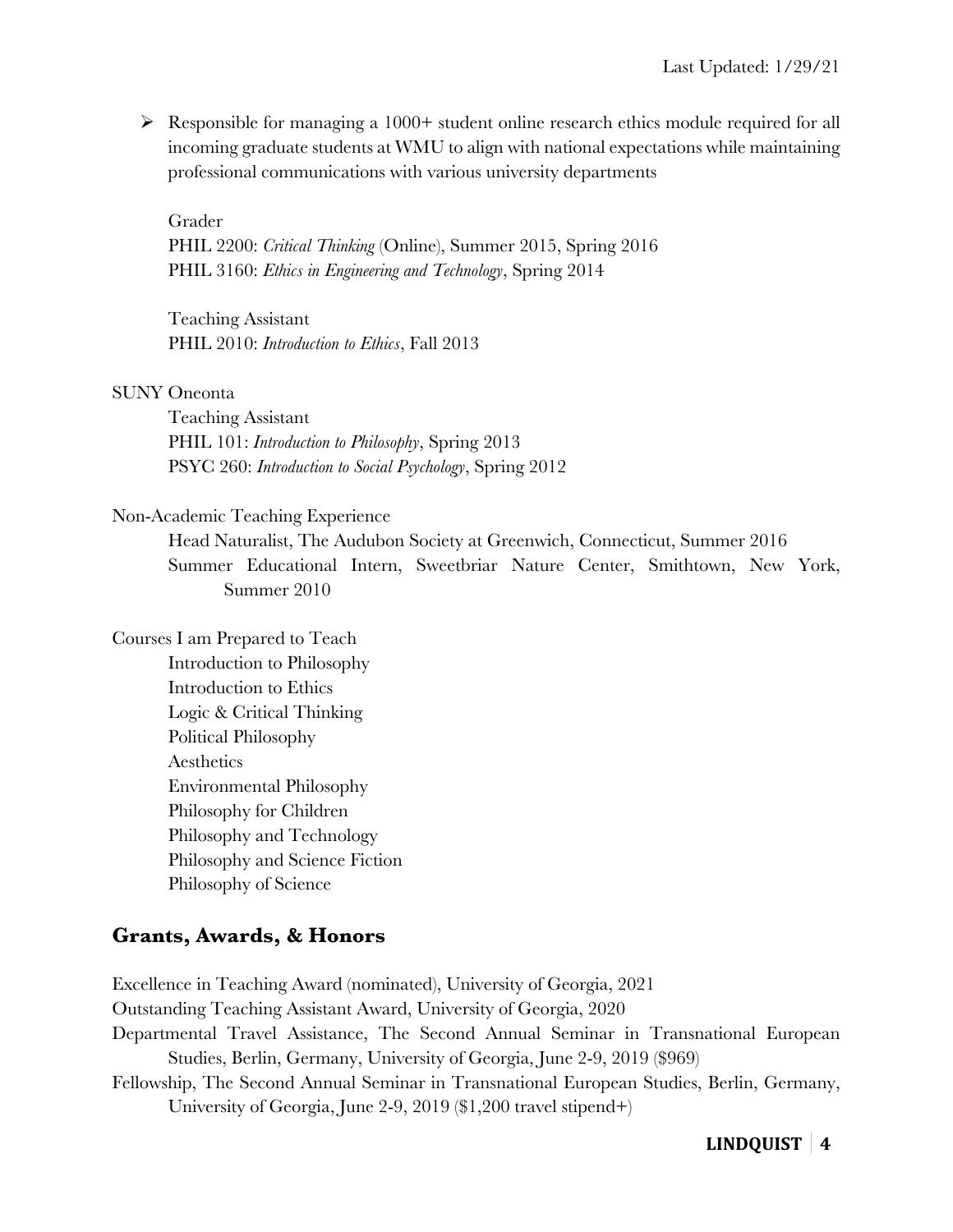$\triangleright$  Responsible for managing a 1000+ student online research ethics module required for all incoming graduate students at WMU to align with national expectations while maintaining professional communications with various university departments

Grader

PHIL 2200: *Critical Thinking* (Online), Summer 2015, Spring 2016 PHIL 3160: *Ethics in Engineering and Technology*, Spring 2014

Teaching Assistant PHIL 2010: *Introduction to Ethics*, Fall 2013

#### SUNY Oneonta

Teaching Assistant PHIL 101: *Introduction to Philosophy*, Spring 2013 PSYC 260: *Introduction to Social Psychology*, Spring 2012

#### Non-Academic Teaching Experience

Head Naturalist, The Audubon Society at Greenwich, Connecticut, Summer 2016 Summer Educational Intern, Sweetbriar Nature Center, Smithtown, New York, Summer 2010

Courses I am Prepared to Teach

Introduction to Philosophy Introduction to Ethics Logic & Critical Thinking Political Philosophy Aesthetics Environmental Philosophy Philosophy for Children Philosophy and Technology Philosophy and Science Fiction Philosophy of Science

### **Grants, Awards, & Honors**

Excellence in Teaching Award (nominated), University of Georgia, 2021 Outstanding Teaching Assistant Award, University of Georgia, 2020 Departmental Travel Assistance, The Second Annual Seminar in Transnational European Studies, Berlin, Germany, University of Georgia, June 2-9, 2019 (\$969) Fellowship, The Second Annual Seminar in Transnational European Studies, Berlin, Germany, University of Georgia, June 2-9, 2019 (\$1,200 travel stipend+)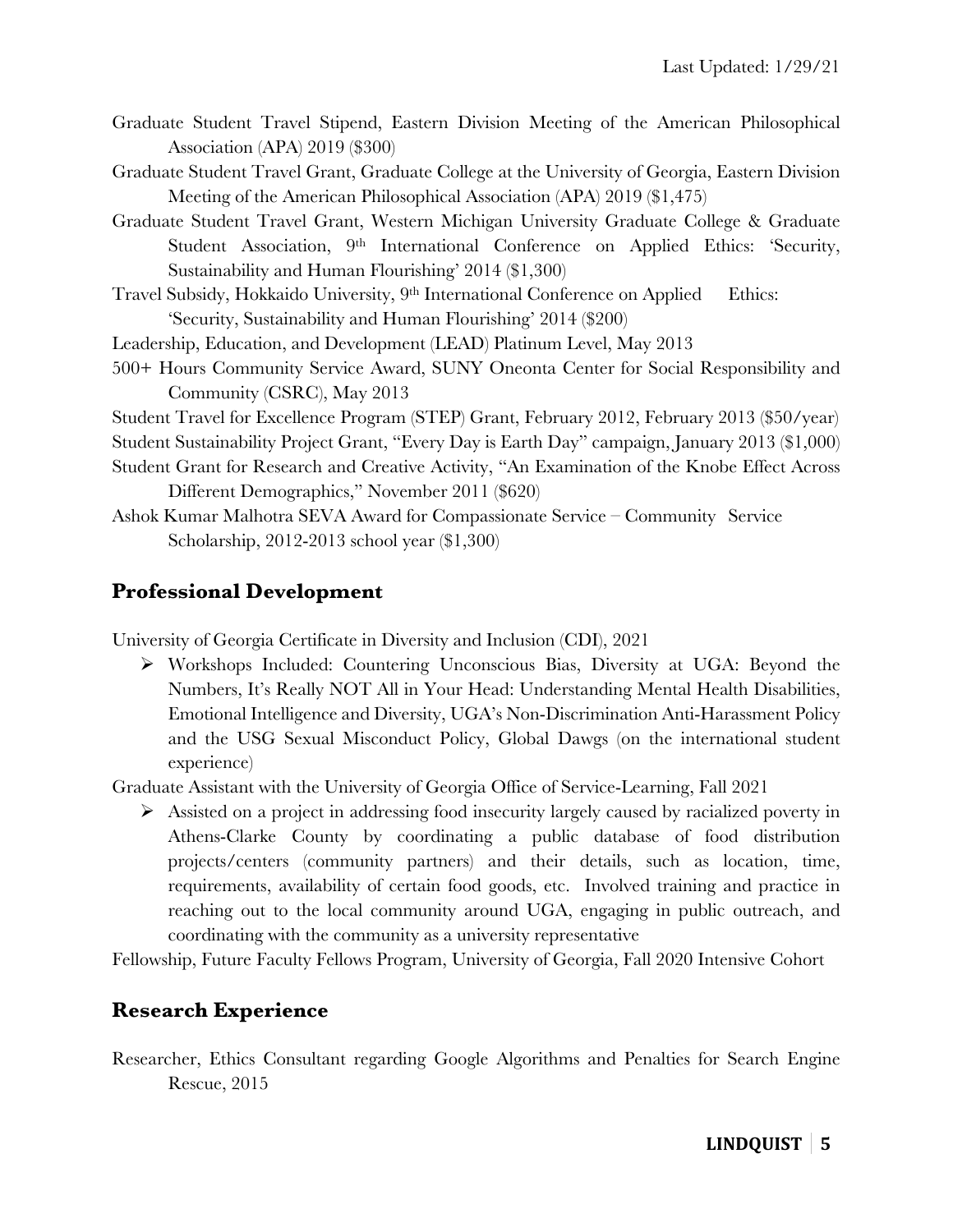- Graduate Student Travel Stipend, Eastern Division Meeting of the American Philosophical Association (APA) 2019 (\$300)
- Graduate Student Travel Grant, Graduate College at the University of Georgia, Eastern Division Meeting of the American Philosophical Association (APA) 2019 (\$1,475)
- Graduate Student Travel Grant, Western Michigan University Graduate College & Graduate Student Association, 9<sup>th</sup> International Conference on Applied Ethics: 'Security, Sustainability and Human Flourishing' 2014 (\$1,300)
- Travel Subsidy, Hokkaido University, 9<sup>th</sup> International Conference on Applied Ethics: 'Security, Sustainability and Human Flourishing' 2014 (\$200)
- Leadership, Education, and Development (LEAD) Platinum Level, May 2013
- 500+ Hours Community Service Award, SUNY Oneonta Center for Social Responsibility and Community (CSRC), May 2013

Student Travel for Excellence Program (STEP) Grant, February 2012, February 2013 (\$50/year)

Student Sustainability Project Grant, "Every Day is Earth Day" campaign, January 2013 (\$1,000)

- Student Grant for Research and Creative Activity, "An Examination of the Knobe Effect Across Different Demographics," November 2011 (\$620)
- Ashok Kumar Malhotra SEVA Award for Compassionate Service Community Service Scholarship, 2012-2013 school year (\$1,300)

# **Professional Development**

University of Georgia Certificate in Diversity and Inclusion (CDI), 2021

Ø Workshops Included: Countering Unconscious Bias, Diversity at UGA: Beyond the Numbers, It's Really NOT All in Your Head: Understanding Mental Health Disabilities, Emotional Intelligence and Diversity, UGA's Non-Discrimination Anti-Harassment Policy and the USG Sexual Misconduct Policy, Global Dawgs (on the international student experience)

Graduate Assistant with the University of Georgia Office of Service-Learning, Fall 2021

 $\triangleright$  Assisted on a project in addressing food insecurity largely caused by racialized poverty in Athens-Clarke County by coordinating a public database of food distribution projects/centers (community partners) and their details, such as location, time, requirements, availability of certain food goods, etc. Involved training and practice in reaching out to the local community around UGA, engaging in public outreach, and coordinating with the community as a university representative

Fellowship, Future Faculty Fellows Program, University of Georgia, Fall 2020 Intensive Cohort

# **Research Experience**

Researcher, Ethics Consultant regarding Google Algorithms and Penalties for Search Engine Rescue, 2015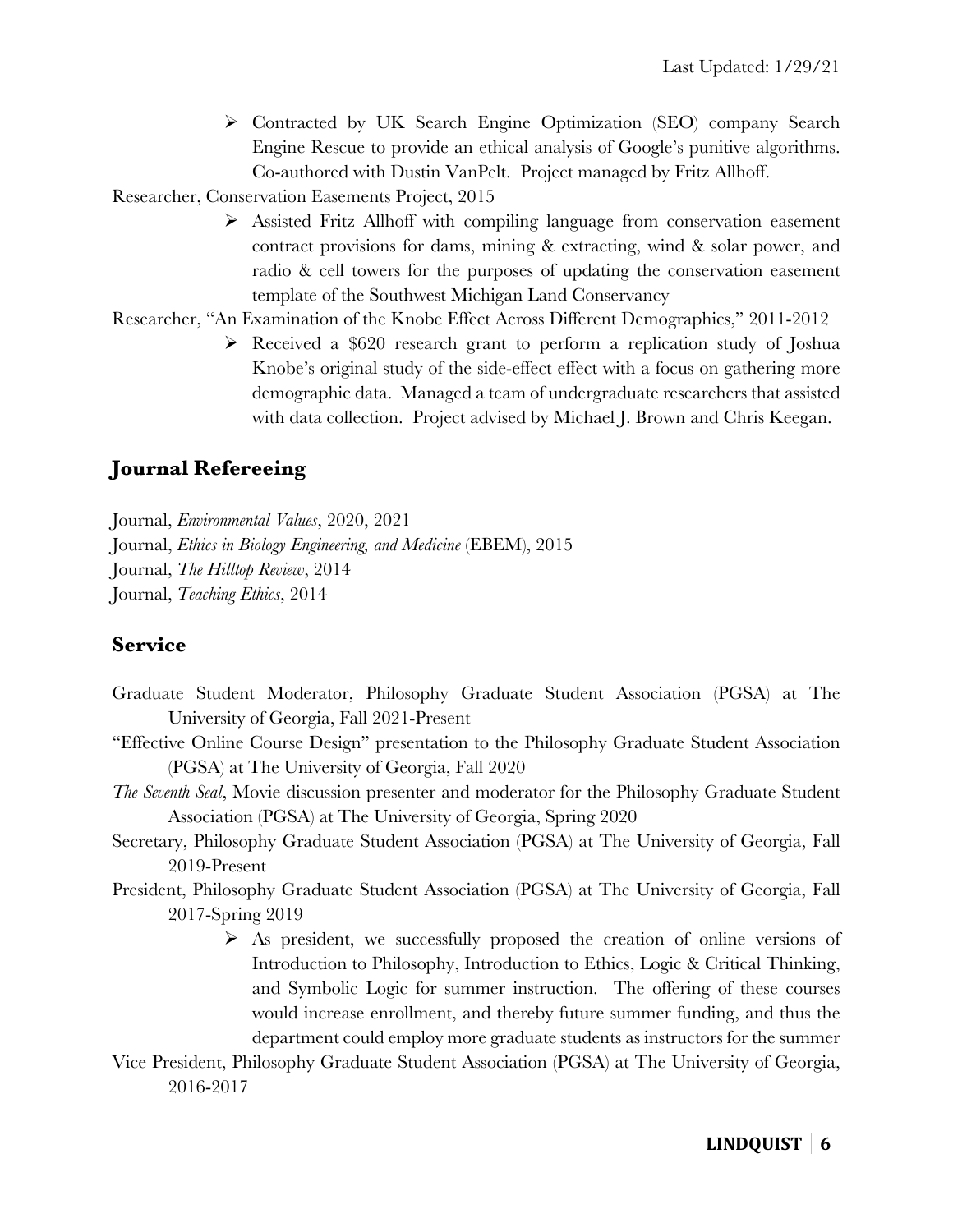Ø Contracted by UK Search Engine Optimization (SEO) company Search Engine Rescue to provide an ethical analysis of Google's punitive algorithms. Co-authored with Dustin VanPelt. Project managed by Fritz Allhoff.

Researcher, Conservation Easements Project, 2015

Ø Assisted Fritz Allhoff with compiling language from conservation easement contract provisions for dams, mining & extracting, wind & solar power, and radio & cell towers for the purposes of updating the conservation easement template of the Southwest Michigan Land Conservancy

#### Researcher, "An Examination of the Knobe Effect Across Different Demographics," 2011-2012

 $\triangleright$  Received a \$620 research grant to perform a replication study of Joshua Knobe's original study of the side-effect effect with a focus on gathering more demographic data. Managed a team of undergraduate researchers that assisted with data collection. Project advised by Michael J. Brown and Chris Keegan.

### **Journal Refereeing**

Journal, *Environmental Values*, 2020, 2021 Journal, *Ethics in Biology Engineering, and Medicine* (EBEM), 2015 Journal, *The Hilltop Review*, 2014 Journal, *Teaching Ethics*, 2014

#### **Service**

- Graduate Student Moderator, Philosophy Graduate Student Association (PGSA) at The University of Georgia, Fall 2021-Present
- "Effective Online Course Design" presentation to the Philosophy Graduate Student Association (PGSA) at The University of Georgia, Fall 2020
- *The Seventh Seal*, Movie discussion presenter and moderator for the Philosophy Graduate Student Association (PGSA) at The University of Georgia, Spring 2020
- Secretary, Philosophy Graduate Student Association (PGSA) at The University of Georgia, Fall 2019-Present
- President, Philosophy Graduate Student Association (PGSA) at The University of Georgia, Fall 2017-Spring 2019
	- $\triangleright$  As president, we successfully proposed the creation of online versions of Introduction to Philosophy, Introduction to Ethics, Logic & Critical Thinking, and Symbolic Logic for summer instruction. The offering of these courses would increase enrollment, and thereby future summer funding, and thus the department could employ more graduate students as instructors for the summer
- Vice President, Philosophy Graduate Student Association (PGSA) at The University of Georgia, 2016-2017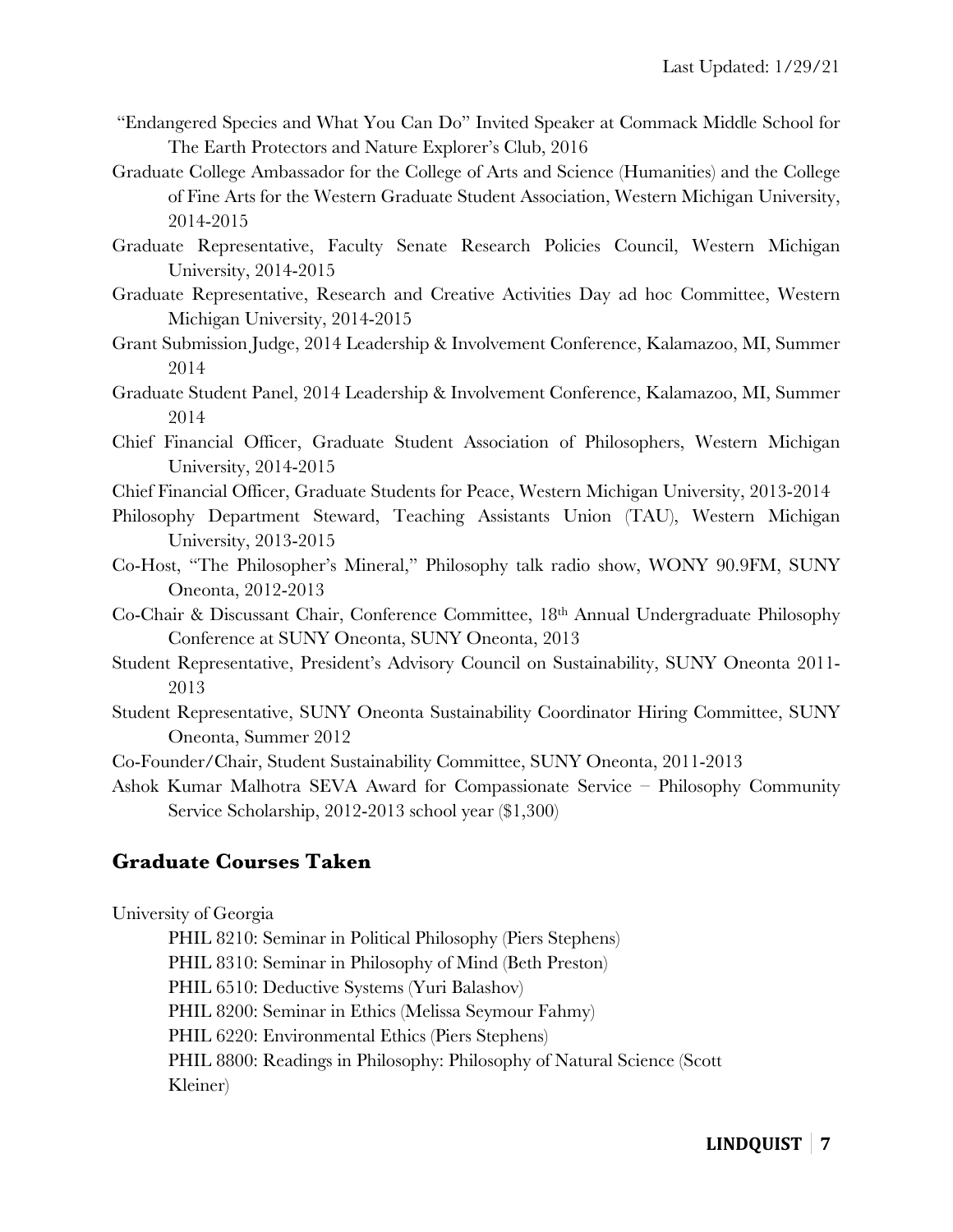- "Endangered Species and What You Can Do" Invited Speaker at Commack Middle School for The Earth Protectors and Nature Explorer's Club, 2016
- Graduate College Ambassador for the College of Arts and Science (Humanities) and the College of Fine Arts for the Western Graduate Student Association, Western Michigan University, 2014-2015
- Graduate Representative, Faculty Senate Research Policies Council, Western Michigan University, 2014-2015
- Graduate Representative, Research and Creative Activities Day ad hoc Committee, Western Michigan University, 2014-2015
- Grant Submission Judge, 2014 Leadership & Involvement Conference, Kalamazoo, MI, Summer 2014
- Graduate Student Panel, 2014 Leadership & Involvement Conference, Kalamazoo, MI, Summer 2014
- Chief Financial Officer, Graduate Student Association of Philosophers, Western Michigan University, 2014-2015
- Chief Financial Officer, Graduate Students for Peace, Western Michigan University, 2013-2014
- Philosophy Department Steward, Teaching Assistants Union (TAU), Western Michigan University, 2013-2015
- Co-Host, "The Philosopher's Mineral," Philosophy talk radio show, WONY 90.9FM, SUNY Oneonta, 2012-2013
- Co-Chair & Discussant Chair, Conference Committee, 18th Annual Undergraduate Philosophy Conference at SUNY Oneonta, SUNY Oneonta, 2013
- Student Representative, President's Advisory Council on Sustainability, SUNY Oneonta 2011- 2013
- Student Representative, SUNY Oneonta Sustainability Coordinator Hiring Committee, SUNY Oneonta, Summer 2012
- Co-Founder/Chair, Student Sustainability Committee, SUNY Oneonta, 2011-2013
- Ashok Kumar Malhotra SEVA Award for Compassionate Service Philosophy Community Service Scholarship, 2012-2013 school year (\$1,300)

### **Graduate Courses Taken**

University of Georgia

- PHIL 8210: Seminar in Political Philosophy (Piers Stephens)
- PHIL 8310: Seminar in Philosophy of Mind (Beth Preston)

PHIL 6510: Deductive Systems (Yuri Balashov)

PHIL 8200: Seminar in Ethics (Melissa Seymour Fahmy)

PHIL 6220: Environmental Ethics (Piers Stephens)

PHIL 8800: Readings in Philosophy: Philosophy of Natural Science (Scott Kleiner)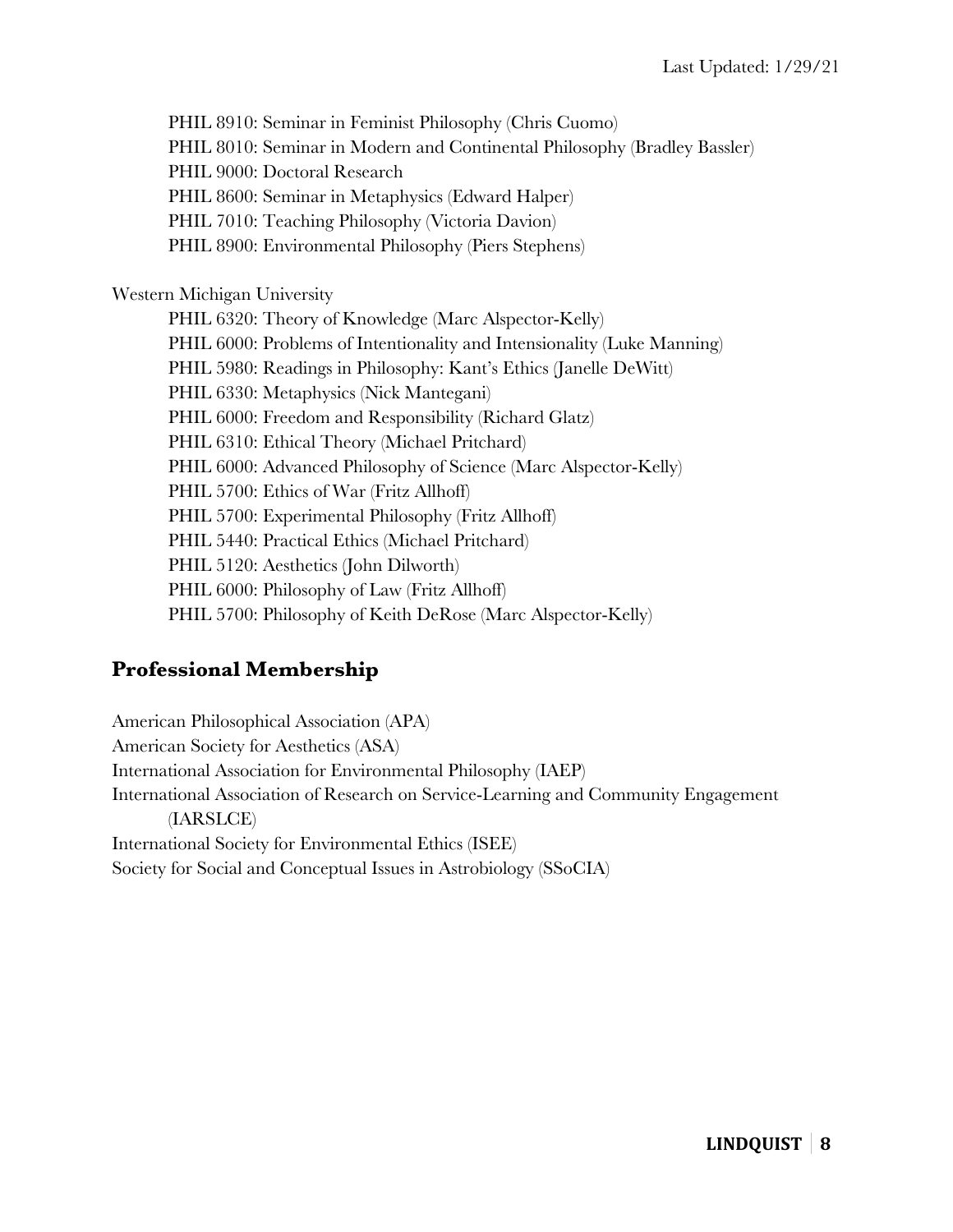PHIL 8910: Seminar in Feminist Philosophy (Chris Cuomo) PHIL 8010: Seminar in Modern and Continental Philosophy (Bradley Bassler) PHIL 9000: Doctoral Research PHIL 8600: Seminar in Metaphysics (Edward Halper) PHIL 7010: Teaching Philosophy (Victoria Davion) PHIL 8900: Environmental Philosophy (Piers Stephens) Western Michigan University PHIL 6320: Theory of Knowledge (Marc Alspector-Kelly) PHIL 6000: Problems of Intentionality and Intensionality (Luke Manning) PHIL 5980: Readings in Philosophy: Kant's Ethics (Janelle DeWitt) PHIL 6330: Metaphysics (Nick Mantegani) PHIL 6000: Freedom and Responsibility (Richard Glatz) PHIL 6310: Ethical Theory (Michael Pritchard) PHIL 6000: Advanced Philosophy of Science (Marc Alspector-Kelly) PHIL 5700: Ethics of War (Fritz Allhoff) PHIL 5700: Experimental Philosophy (Fritz Allhoff) PHIL 5440: Practical Ethics (Michael Pritchard) PHIL 5120: Aesthetics (John Dilworth) PHIL 6000: Philosophy of Law (Fritz Allhoff) PHIL 5700: Philosophy of Keith DeRose (Marc Alspector-Kelly)

# **Professional Membership**

American Philosophical Association (APA) American Society for Aesthetics (ASA) International Association for Environmental Philosophy (IAEP) International Association of Research on Service-Learning and Community Engagement (IARSLCE) International Society for Environmental Ethics (ISEE) Society for Social and Conceptual Issues in Astrobiology (SSoCIA)